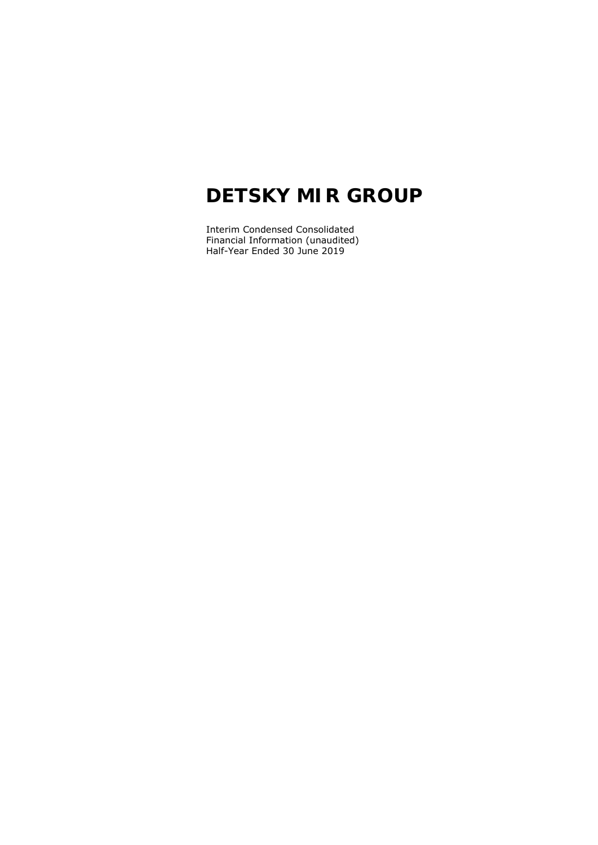Interim Condensed Consolidated Financial Information (unaudited) Half-Year Ended 30 June 2019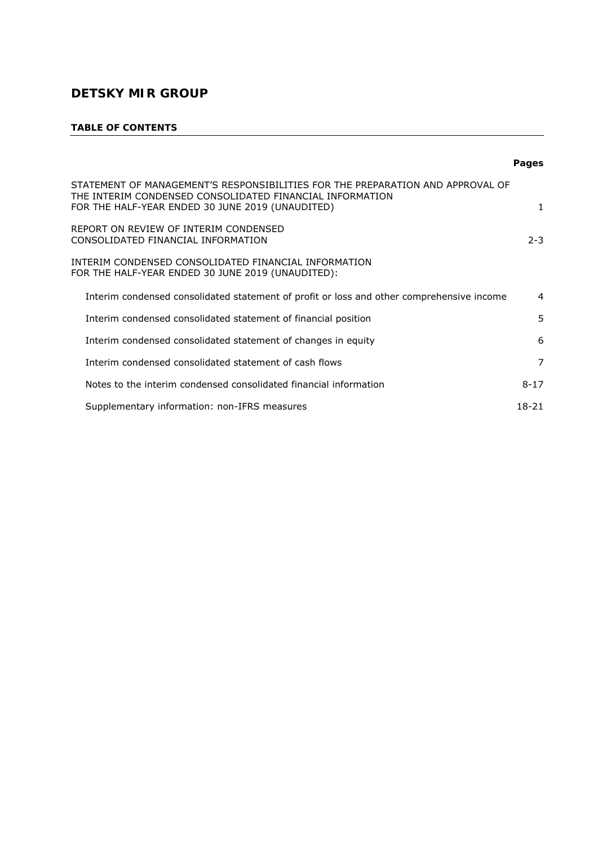# **TABLE OF CONTENTS**

|                                                                                                                                                                                                | <b>Pages</b>   |
|------------------------------------------------------------------------------------------------------------------------------------------------------------------------------------------------|----------------|
| STATEMENT OF MANAGEMENT'S RESPONSIBILITIES FOR THE PREPARATION AND APPROVAL OF<br>THE INTERIM CONDENSED CONSOLIDATED FINANCIAL INFORMATION<br>FOR THE HALF-YEAR ENDED 30 JUNE 2019 (UNAUDITED) | 1              |
| REPORT ON REVIEW OF INTERIM CONDENSED<br>CONSOLIDATED FINANCIAL INFORMATION                                                                                                                    | $2 - 3$        |
| INTERIM CONDENSED CONSOLIDATED FINANCIAL INFORMATION<br>FOR THE HALF-YEAR ENDED 30 JUNE 2019 (UNAUDITED):                                                                                      |                |
| Interim condensed consolidated statement of profit or loss and other comprehensive income                                                                                                      | $\overline{a}$ |
| Interim condensed consolidated statement of financial position                                                                                                                                 | 5              |
| Interim condensed consolidated statement of changes in equity                                                                                                                                  | 6              |
| Interim condensed consolidated statement of cash flows                                                                                                                                         | 7              |
| Notes to the interim condensed consolidated financial information                                                                                                                              | $8 - 17$       |
| Supplementary information: non-IFRS measures                                                                                                                                                   | 18-21          |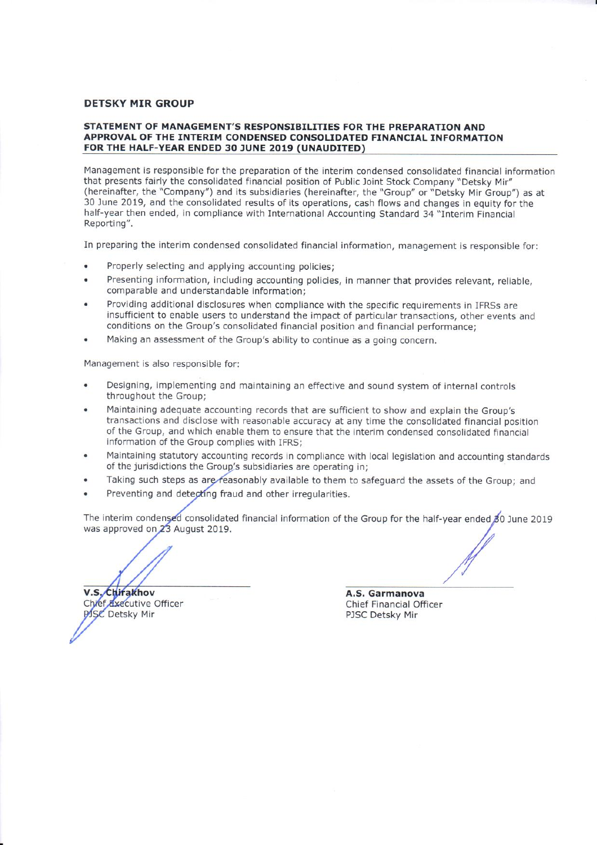## STATEMENT OF MANAGEMENT'S RESPONSIBILITIES FOR THE PREPARATION AND APPROVAL OF THE INTERIM CONDENSED CONSOLIDATED FINANCIAL INFORMATION FOR THE HALF-YEAR ENDED 30 JUNE 2019 (UNAUDITED)

Management is responsible for the preparation of the interim condensed consolidated financial information that presents fairly the consolidated financial position of Public Joint Stock Company "Detsky Mir" (hereinafter, the "Company") and its subsidiaries (hereinafter, the "Group" or "Detsky Mir Group") as at 30 June 2019, and the consolidated results of its operations, cash flows and changes in equity for the half-year then ended, in compliance with International Accounting Standard 34 "Interim Financial Reporting".

In preparing the interim condensed consolidated financial information, management is responsible for:

- Properly selecting and applying accounting policies:
- Presenting information, including accounting policies, in manner that provides relevant, reliable, comparable and understandable information:
- Providing additional disclosures when compliance with the specific requirements in IFRSs are insufficient to enable users to understand the impact of particular transactions, other events and conditions on the Group's consolidated financial position and financial performance:
- Making an assessment of the Group's ability to continue as a going concern.

Management is also responsible for:

- Designing, implementing and maintaining an effective and sound system of internal controls throughout the Group:
- Maintaining adequate accounting records that are sufficient to show and explain the Group's transactions and disclose with reasonable accuracy at any time the consolidated financial position of the Group, and which enable them to ensure that the interim condensed consolidated financial information of the Group complies with IFRS:
- Maintaining statutory accounting records in compliance with local legislation and accounting standards of the jurisdictions the Group's subsidiaries are operating in;
- Taking such steps as are reasonably available to them to safeguard the assets of the Group; and
- Preventing and detecting fraud and other irregularities.

The interim condensed consolidated financial information of the Group for the half-year ended 80 June 2019 was approved on 23 August 2019.

V.S. Chirakhov Chief Executive Officer **PISC Detsky Mir** 

A.S. Garmanova

Chief Financial Officer PJSC Detsky Mir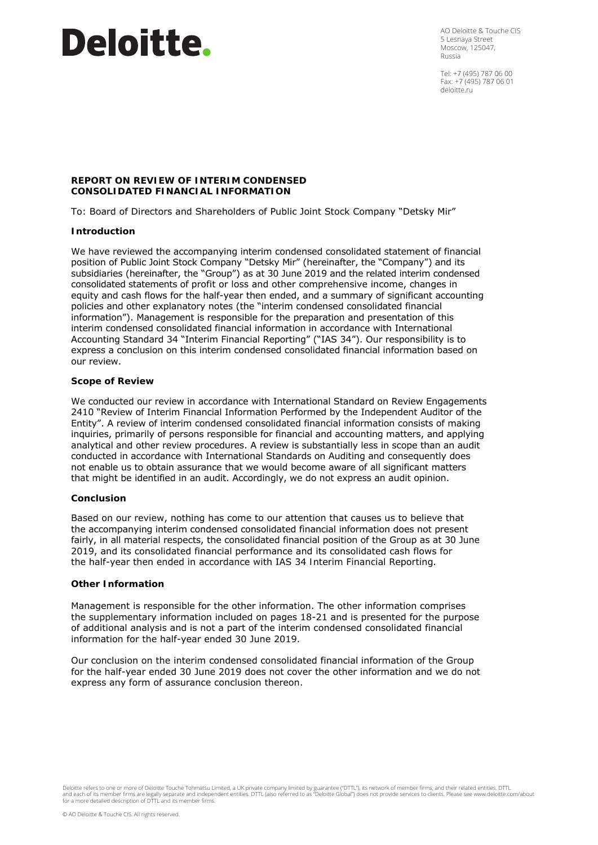# **Deloitte**.

AO Deloitte & Touche CIS 5 Lesnaya Street Moscow, 125047, Russia

Tel: +7 (495) 787 06 00 Fax: +7 (495) 787 06 01 deloitte.ru

# **REPORT ON REVIEW OF INTERIM CONDENSED CONSOLIDATED FINANCIAL INFORMATION**

To: Board of Directors and Shareholders of Public Joint Stock Company "Detsky Mir"

# **Introduction**

We have reviewed the accompanying interim condensed consolidated statement of financial position of Public Joint Stock Company "Detsky Mir" (hereinafter, the "Company") and its subsidiaries (hereinafter, the "Group") as at 30 June 2019 and the related interim condensed consolidated statements of profit or loss and other comprehensive income, changes in equity and cash flows for the half-year then ended, and a summary of significant accounting policies and other explanatory notes (the "interim condensed consolidated financial information"). Management is responsible for the preparation and presentation of this interim condensed consolidated financial information in accordance with International Accounting Standard 34 "Interim Financial Reporting" ("IAS 34"). Our responsibility is to express a conclusion on this interim condensed consolidated financial information based on our review.

# **Scope of Review**

We conducted our review in accordance with International Standard on Review Engagements 2410 "Review of Interim Financial Information Performed by the Independent Auditor of the Entity". A review of interim condensed consolidated financial information consists of making inquiries, primarily of persons responsible for financial and accounting matters, and applying analytical and other review procedures. A review is substantially less in scope than an audit conducted in accordance with International Standards on Auditing and consequently does not enable us to obtain assurance that we would become aware of all significant matters that might be identified in an audit. Accordingly, we do not express an audit opinion.

#### **Conclusion**

Based on our review, nothing has come to our attention that causes us to believe that the accompanying interim condensed consolidated financial information does not present fairly, in all material respects, the consolidated financial position of the Group as at 30 June 2019, and its consolidated financial performance and its consolidated cash flows for the half-year then ended in accordance with IAS 34 *Interim Financial Reporting*.

#### **Other Information**

Management is responsible for the other information. The other information comprises the supplementary information included on pages 18-21 and is presented for the purpose of additional analysis and is not a part of the interim condensed consolidated financial information for the half-year ended 30 June 2019.

Our conclusion on the interim condensed consolidated financial information of the Group for the half-year ended 30 June 2019 does not cover the other information and we do not express any form of assurance conclusion thereon.

Deloitte refers to one or more of Deloitte Touche Tohmatsu Limited, a UK private company limited by guarantee ("DTTL"), its network of member firms, and their related entities. DTTL<br>and each of its member firms are legally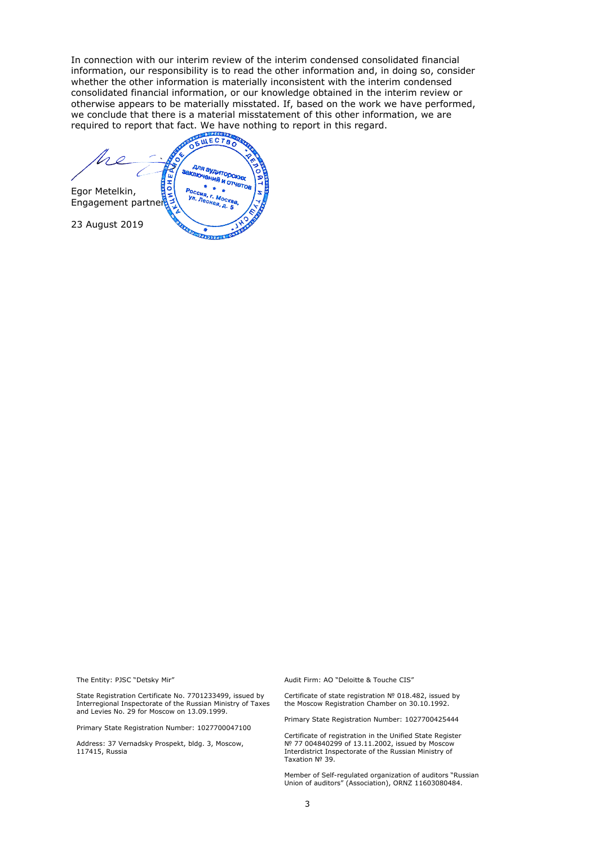In connection with our interim review of the interim condensed consolidated financial information, our responsibility is to read the other information and, in doing so, consider whether the other information is materially inconsistent with the interim condensed consolidated financial information, or our knowledge obtained in the interim review or otherwise appears to be materially misstated. If, based on the work we have performed, we conclude that there is a material misstatement of this other information, we are required to report that fact. We have nothing to report in this regard.<br> $\sqrt{\frac{1}{6} \frac{\mu}{\mu} \frac{c \cdot r}{c \cdot r}}$ 

для аудиторских<br>спочений и стах *PIN BYANTODCIGIOL*<br>**IIO4GHIAB I**I OT4GTOB lυ OH<sub>1</sub> **Si** Egor Metelkin, оссия, г. москва<br>'л. Лесная сква Ул. Леси Engagement partner 109, д. 23 August 2019 ×. 2010334 8 011

The Entity: PJSC "Detsky Mir"

State Registration Certificate No. 7701233499, issued by Interregional Inspectorate of the Russian Ministry of Taxes and Levies No. 29 for Moscow on 13.09.1999.

Primary State Registration Number: 1027700047100

Address: 37 Vernadsky Prospekt, bldg. 3, Moscow, 117415, Russia

Audit Firm: AO "Deloitte & Touche CIS"

Certificate of state registration № 018.482, issued by the Moscow Registration Chamber on 30.10.1992.

Primary State Registration Number: 1027700425444

Certificate of registration in the Unified State Register № 77 004840299 of 13.11.2002, issued by Moscow Interdistrict Inspectorate of the Russian Ministry of Taxation № 39.

Member of Self-regulated organization of auditors "Russian Union of auditors" (Association), ORNZ 11603080484.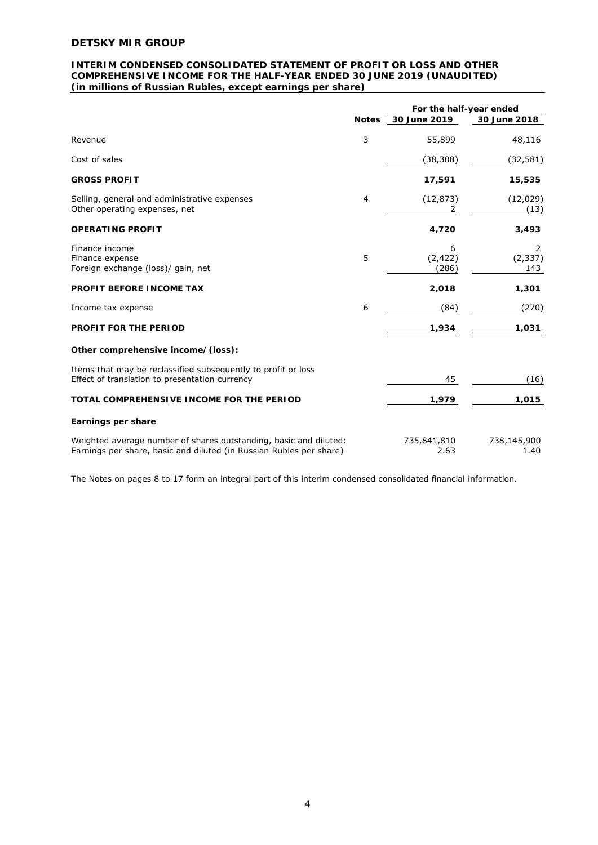# **INTERIM CONDENSED CONSOLIDATED STATEMENT OF PROFIT OR LOSS AND OTHER COMPREHENSIVE INCOME FOR THE HALF-YEAR ENDED 30 JUNE 2019 (UNAUDITED)**  *(in millions of Russian Rubles, except earnings per share)*

|                                                                                                                                          | For the half-year ended |                        |                      |
|------------------------------------------------------------------------------------------------------------------------------------------|-------------------------|------------------------|----------------------|
|                                                                                                                                          | <b>Notes</b>            | 30 June 2019           | 30 June 2018         |
| Revenue                                                                                                                                  | 3                       | 55,899                 | 48,116               |
| Cost of sales                                                                                                                            |                         | (38, 308)              | (32, 581)            |
| <b>GROSS PROFIT</b>                                                                                                                      |                         | 17,591                 | 15,535               |
| Selling, general and administrative expenses<br>Other operating expenses, net                                                            | 4                       | (12, 873)<br>2         | (12,029)<br>(13)     |
| <b>OPERATING PROFIT</b>                                                                                                                  |                         | 4,720                  | 3,493                |
| Finance income<br>Finance expense<br>Foreign exchange (loss)/ gain, net                                                                  | 5                       | 6<br>(2, 422)<br>(286) | 2<br>(2, 337)<br>143 |
| PROFIT BEFORE INCOME TAX                                                                                                                 |                         | 2,018                  | 1,301                |
| Income tax expense                                                                                                                       | 6                       | (84)                   | (270)                |
| PROFIT FOR THE PERIOD                                                                                                                    |                         | 1,934                  | 1,031                |
| Other comprehensive income/(loss):                                                                                                       |                         |                        |                      |
| Items that may be reclassified subsequently to profit or loss<br>Effect of translation to presentation currency                          |                         | 45                     | (16)                 |
| TOTAL COMPREHENSIVE INCOME FOR THE PERIOD                                                                                                |                         | 1,979                  | 1,015                |
| Earnings per share                                                                                                                       |                         |                        |                      |
| Weighted average number of shares outstanding, basic and diluted:<br>Earnings per share, basic and diluted (in Russian Rubles per share) |                         | 735,841,810<br>2.63    | 738,145,900<br>1.40  |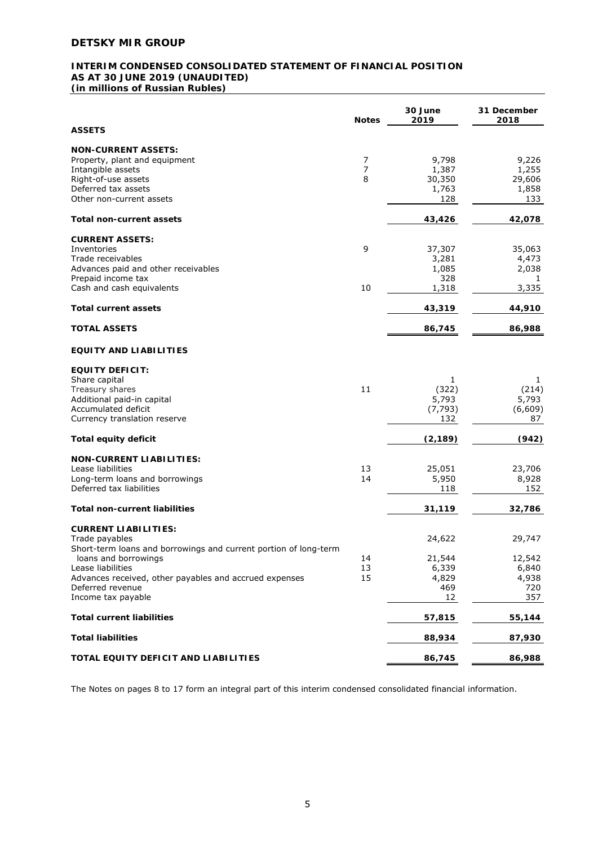# **INTERIM CONDENSED CONSOLIDATED STATEMENT OF FINANCIAL POSITION AS AT 30 JUNE 2019 (UNAUDITED)**  *(in millions of Russian Rubles)*

|                                                                  | <b>Notes</b>   | 30 June<br>2019 | 31 December<br>2018 |
|------------------------------------------------------------------|----------------|-----------------|---------------------|
| <b>ASSETS</b>                                                    |                |                 |                     |
| <b>NON-CURRENT ASSETS:</b>                                       |                |                 |                     |
| Property, plant and equipment                                    | 7              | 9,798           | 9,226               |
| Intangible assets                                                | $\overline{7}$ | 1,387           | 1,255               |
| Right-of-use assets                                              | 8              | 30,350          | 29,606              |
| Deferred tax assets                                              |                | 1,763           | 1,858               |
| Other non-current assets                                         |                | 128             | 133                 |
| Total non-current assets                                         |                | 43,426          | 42,078              |
| <b>CURRENT ASSETS:</b>                                           |                |                 |                     |
| Inventories                                                      | 9              | 37,307          | 35,063              |
| Trade receivables                                                |                | 3,281           | 4,473               |
| Advances paid and other receivables                              |                | 1,085           | 2,038               |
| Prepaid income tax                                               |                | 328             | 1                   |
| Cash and cash equivalents                                        | 10             | 1,318           | 3,335               |
| <b>Total current assets</b>                                      |                | 43,319          | 44,910              |
|                                                                  |                |                 |                     |
| <b>TOTAL ASSETS</b>                                              |                | 86,745          | 86,988              |
| <b>EQUITY AND LIABILITIES</b>                                    |                |                 |                     |
| <b>EQUITY DEFICIT:</b>                                           |                |                 |                     |
| Share capital                                                    |                | 1               | 1                   |
| Treasury shares                                                  | 11             | (322)           | (214)               |
| Additional paid-in capital                                       |                | 5,793           | 5,793               |
| Accumulated deficit                                              |                | (7, 793)        | (6,609)             |
| Currency translation reserve                                     |                | 132             | 87                  |
| <b>Total equity deficit</b>                                      |                | (2, 189)        | (942)               |
| <b>NON-CURRENT LIABILITIES:</b>                                  |                |                 |                     |
| Lease liabilities                                                | 13             | 25,051          | 23,706              |
| Long-term loans and borrowings                                   | 14             | 5,950           | 8,928               |
| Deferred tax liabilities                                         |                | 118             | 152                 |
| <b>Total non-current liabilities</b>                             |                | 31,119          | 32,786              |
| <b>CURRENT LIABILITIES:</b>                                      |                |                 |                     |
|                                                                  |                |                 |                     |
| Trade payables                                                   |                | 24,622          | 29,747              |
| Short-term loans and borrowings and current portion of long-term |                |                 |                     |
| loans and borrowings                                             | 14             | 21,544          | 12,542              |
| Lease liabilities                                                | 13             | 6,339           | 6,840               |
| Advances received, other payables and accrued expenses           | 15             | 4,829           | 4,938               |
| Deferred revenue                                                 |                | 469             | 720                 |
| Income tax payable                                               |                | 12              | 357                 |
| <b>Total current liabilities</b>                                 |                | 57,815          | 55,144              |
| <b>Total liabilities</b>                                         |                | 88,934          | 87,930              |
| TOTAL EQUITY DEFICIT AND LIABILITIES                             |                | 86,745          | 86,988              |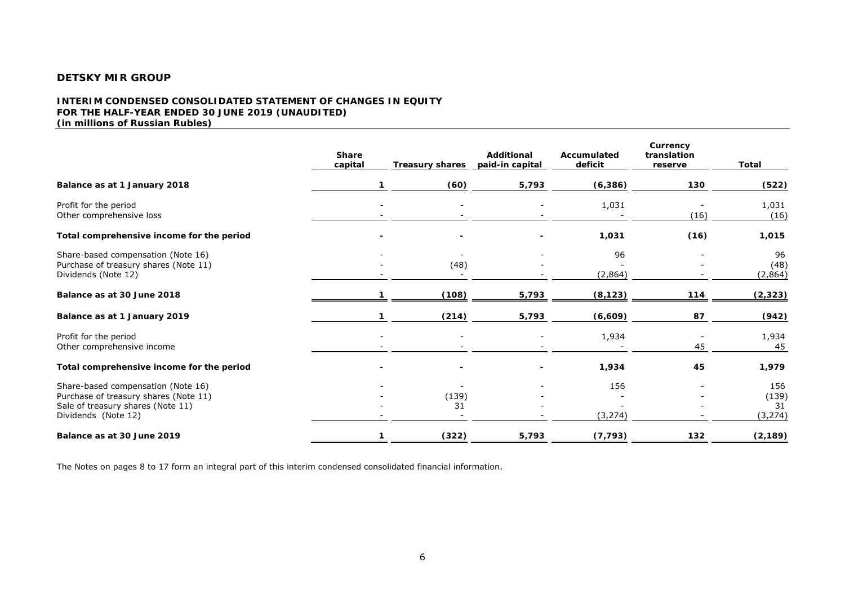### **INTERIM CONDENSED CONSOLIDATED STATEMENT OF CHANGES IN EQUITY FOR THE HALF-YEAR ENDED 30 JUNE 2019 (UNAUDITED)**  *(in millions of Russian Rubles)*

|                                                                                                                                         | <b>Share</b><br>capital | <b>Treasury shares</b>   | Additional<br>paid-in capital | Accumulated<br>deficit | Currency<br>translation<br>reserve | Total                          |
|-----------------------------------------------------------------------------------------------------------------------------------------|-------------------------|--------------------------|-------------------------------|------------------------|------------------------------------|--------------------------------|
| Balance as at 1 January 2018                                                                                                            |                         | (60)                     | 5,793                         | (6, 386)               | 130                                | (522)                          |
| Profit for the period<br>Other comprehensive loss                                                                                       |                         | $\overline{\phantom{a}}$ |                               | 1,031                  | (16)                               | 1,031<br>(16)                  |
| Total comprehensive income for the period                                                                                               |                         |                          |                               | 1,031                  | (16)                               | 1,015                          |
| Share-based compensation (Note 16)<br>Purchase of treasury shares (Note 11)<br>Dividends (Note 12)                                      |                         | (48)                     |                               | 96<br>(2,864)          |                                    | 96<br>(48)<br>(2,864)          |
| Balance as at 30 June 2018                                                                                                              |                         | (108)                    | 5,793                         | (8, 123)               | 114                                | (2, 323)                       |
| Balance as at 1 January 2019                                                                                                            |                         | (214)                    | 5,793                         | (6,609)                | 87                                 | (942)                          |
| Profit for the period<br>Other comprehensive income                                                                                     |                         | $\sim$                   |                               | 1,934                  | 45                                 | 1,934<br>45                    |
| Total comprehensive income for the period                                                                                               |                         |                          |                               | 1,934                  | 45                                 | 1,979                          |
| Share-based compensation (Note 16)<br>Purchase of treasury shares (Note 11)<br>Sale of treasury shares (Note 11)<br>Dividends (Note 12) |                         | (139)<br>31              |                               | 156<br>(3, 274)        |                                    | 156<br>(139)<br>31<br>(3, 274) |
| Balance as at 30 June 2019                                                                                                              |                         | (322)                    | 5,793                         | (7, 793)               | 132                                | (2, 189)                       |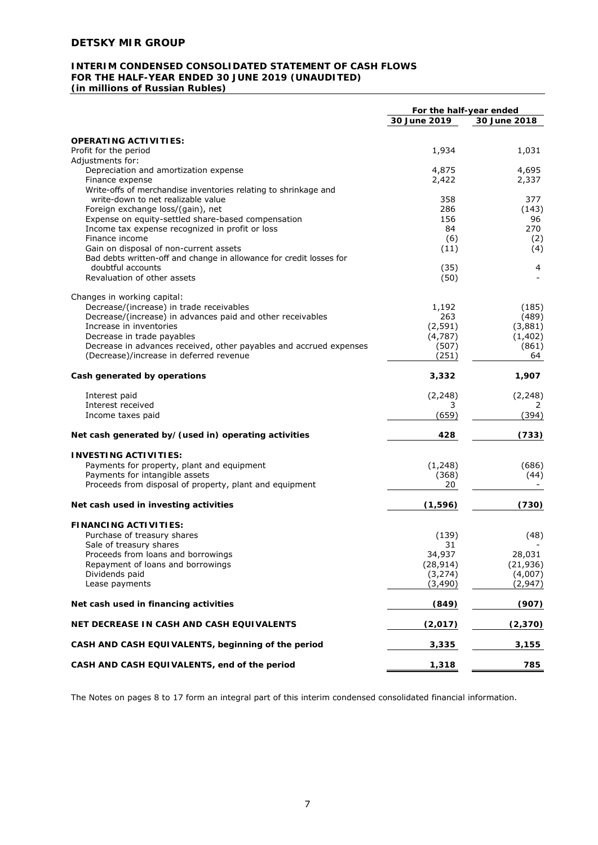# **INTERIM CONDENSED CONSOLIDATED STATEMENT OF CASH FLOWS FOR THE HALF-YEAR ENDED 30 JUNE 2019 (UNAUDITED)**

*(in millions of Russian Rubles)* 

|                                                                                                       | For the half-year ended |              |
|-------------------------------------------------------------------------------------------------------|-------------------------|--------------|
|                                                                                                       | 30 June 2019            | 30 June 2018 |
| <b>OPERATING ACTIVITIES:</b>                                                                          |                         |              |
| Profit for the period                                                                                 | 1,934                   | 1,031        |
| Adjustments for:                                                                                      |                         |              |
| Depreciation and amortization expense                                                                 | 4,875                   | 4,695        |
| Finance expense                                                                                       | 2,422                   | 2,337        |
| Write-offs of merchandise inventories relating to shrinkage and                                       |                         |              |
| write-down to net realizable value                                                                    | 358                     | 377          |
| Foreign exchange loss/(gain), net                                                                     | 286                     | (143)        |
| Expense on equity-settled share-based compensation<br>Income tax expense recognized in profit or loss | 156<br>84               | 96<br>270    |
| Finance income                                                                                        | (6)                     | (2)          |
| Gain on disposal of non-current assets                                                                | (11)                    | (4)          |
| Bad debts written-off and change in allowance for credit losses for                                   |                         |              |
| doubtful accounts                                                                                     | (35)                    | 4            |
| Revaluation of other assets                                                                           | (50)                    |              |
| Changes in working capital:                                                                           |                         |              |
| Decrease/(increase) in trade receivables                                                              | 1,192                   | (185)        |
| Decrease/(increase) in advances paid and other receivables                                            | 263                     | (489)        |
| Increase in inventories                                                                               | (2, 591)                | (3,881)      |
| Decrease in trade payables                                                                            | (4, 787)                | (1, 402)     |
| Decrease in advances received, other payables and accrued expenses                                    | (507)                   | (861)        |
| (Decrease)/increase in deferred revenue                                                               | (251)                   | 64           |
| Cash generated by operations                                                                          | 3,332                   | 1,907        |
| Interest paid                                                                                         | (2, 248)                | (2, 248)     |
| Interest received                                                                                     | 3                       | 2            |
| Income taxes paid                                                                                     | (659)                   | (394)        |
| Net cash generated by/(used in) operating activities                                                  | 428                     | (733)        |
| <b>INVESTING ACTIVITIES:</b>                                                                          |                         |              |
| Payments for property, plant and equipment                                                            | (1, 248)                | (686)        |
| Payments for intangible assets                                                                        | (368)                   | (44)         |
| Proceeds from disposal of property, plant and equipment                                               | 20                      |              |
| Net cash used in investing activities                                                                 | (1, 596)                | (730)        |
| <b>FINANCING ACTIVITIES:</b>                                                                          |                         |              |
| Purchase of treasury shares                                                                           | (139)                   | (48)         |
| Sale of treasury shares                                                                               | 31                      |              |
| Proceeds from loans and borrowings                                                                    | 34,937                  | 28,031       |
| Repayment of loans and borrowings                                                                     | (28, 914)               | (21, 936)    |
| Dividends paid                                                                                        | (3, 274)                | (4,007)      |
| Lease payments                                                                                        | (3, 490)                | (2,947)      |
| Net cash used in financing activities                                                                 | (849)                   | (907)        |
| NET DECREASE IN CASH AND CASH EQUIVALENTS                                                             | (2,017)                 | (2,370)      |
| CASH AND CASH EQUIVALENTS, beginning of the period                                                    | 3,335                   | 3,155        |
| CASH AND CASH EQUIVALENTS, end of the period                                                          | 1,318                   | 785          |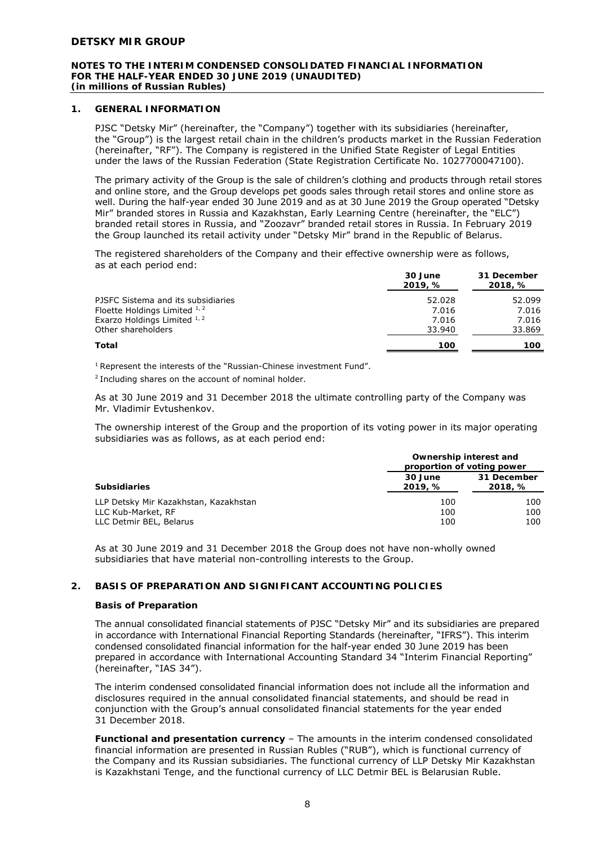#### **NOTES TO THE INTERIM CONDENSED CONSOLIDATED FINANCIAL INFORMATION FOR THE HALF-YEAR ENDED 30 JUNE 2019 (UNAUDITED)**  *(in millions of Russian Rubles)*

# **1. GENERAL INFORMATION**

PJSC "Detsky Mir" (hereinafter, the "Company") together with its subsidiaries (hereinafter, the "Group") is the largest retail chain in the children's products market in the Russian Federation (hereinafter, "RF"). The Company is registered in the Unified State Register of Legal Entities under the laws of the Russian Federation (State Registration Certificate No. 1027700047100).

The primary activity of the Group is the sale of children's clothing and products through retail stores and online store, and the Group develops pet goods sales through retail stores and online store as well. During the half-year ended 30 June 2019 and as at 30 June 2019 the Group operated "Detsky Mir" branded stores in Russia and Kazakhstan, Early Learning Centre (hereinafter, the "ELC") branded retail stores in Russia, and "Zoozavr" branded retail stores in Russia. In February 2019 the Group launched its retail activity under "Detsky Mir" brand in the Republic of Belarus.

The registered shareholders of the Company and their effective ownership were as follows, as at each period end:

|                                    | 30 June<br>2019, % | 31 December<br>2018, % |
|------------------------------------|--------------------|------------------------|
| PJSFC Sistema and its subsidiaries | 52.028             | 52.099                 |
| Floette Holdings Limited $1/2$     | 7.016              | 7.016                  |
| Exarzo Holdings Limited 1, 2       | 7.016              | 7.016                  |
| Other shareholders                 | 33.940             | 33.869                 |
| <b>Total</b>                       | 100                | 100                    |

<sup>1</sup> Represent the interests of the "Russian-Chinese investment Fund".

<sup>2</sup> Including shares on the account of nominal holder.

As at 30 June 2019 and 31 December 2018 the ultimate controlling party of the Company was Mr. Vladimir Evtushenkov.

The ownership interest of the Group and the proportion of its voting power in its major operating subsidiaries was as follows, as at each period end:

|                                                                                        | Ownership interest and<br>proportion of voting power |                        |
|----------------------------------------------------------------------------------------|------------------------------------------------------|------------------------|
| <b>Subsidiaries</b>                                                                    | 30 June<br>2019, %                                   | 31 December<br>2018, % |
| LLP Detsky Mir Kazakhstan, Kazakhstan<br>LLC Kub-Market, RF<br>LLC Detmir BEL, Belarus | 100<br>100<br>100                                    | 100<br>100<br>100      |

As at 30 June 2019 and 31 December 2018 the Group does not have non-wholly owned subsidiaries that have material non-controlling interests to the Group.

# **2. BASIS OF PREPARATION AND SIGNIFICANT ACCOUNTING POLICIES**

#### **Basis of Preparation**

The annual consolidated financial statements of PJSC "Detsky Mir" and its subsidiaries are prepared in accordance with International Financial Reporting Standards (hereinafter, "IFRS"). This interim condensed consolidated financial information for the half-year ended 30 June 2019 has been prepared in accordance with International Accounting Standard 34 "Interim Financial Reporting" (hereinafter, "IAS 34").

The interim condensed consolidated financial information does not include all the information and disclosures required in the annual consolidated financial statements, and should be read in conjunction with the Group's annual consolidated financial statements for the year ended 31 December 2018.

*Functional and presentation currency* – The amounts in the interim condensed consolidated financial information are presented in Russian Rubles ("RUB"), which is functional currency of the Company and its Russian subsidiaries. The functional currency of LLP Detsky Mir Kazakhstan is Kazakhstani Tenge, and the functional currency of LLC Detmir BEL is Belarusian Ruble.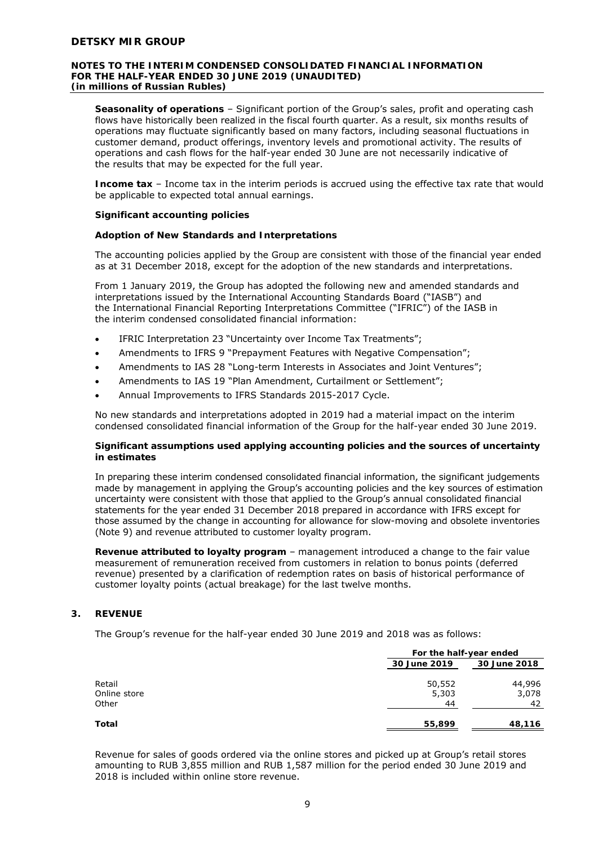#### **NOTES TO THE INTERIM CONDENSED CONSOLIDATED FINANCIAL INFORMATION FOR THE HALF-YEAR ENDED 30 JUNE 2019 (UNAUDITED)**  *(in millions of Russian Rubles)*

*Seasonality of operations* – Significant portion of the Group's sales, profit and operating cash flows have historically been realized in the fiscal fourth quarter. As a result, six months results of operations may fluctuate significantly based on many factors, including seasonal fluctuations in customer demand, product offerings, inventory levels and promotional activity. The results of operations and cash flows for the half-year ended 30 June are not necessarily indicative of the results that may be expected for the full year.

*Income tax* – Income tax in the interim periods is accrued using the effective tax rate that would be applicable to expected total annual earnings.

# **Significant accounting policies**

# *Adoption of New Standards and Interpretations*

The accounting policies applied by the Group are consistent with those of the financial year ended as at 31 December 2018, except for the adoption of the new standards and interpretations.

From 1 January 2019, the Group has adopted the following new and amended standards and interpretations issued by the International Accounting Standards Board ("IASB") and the International Financial Reporting Interpretations Committee ("IFRIC") of the IASB in the interim condensed consolidated financial information:

- IFRIC Interpretation 23 "Uncertainty over Income Tax Treatments";
- Amendments to IFRS 9 "Prepayment Features with Negative Compensation";
- Amendments to IAS 28 "Long-term Interests in Associates and Joint Ventures";
- Amendments to IAS 19 "Plan Amendment, Curtailment or Settlement";
- Annual Improvements to IFRS Standards 2015-2017 Cycle.

No new standards and interpretations adopted in 2019 had a material impact on the interim condensed consolidated financial information of the Group for the half-year ended 30 June 2019.

# *Significant assumptions used applying accounting policies and the sources of uncertainty in estimates*

In preparing these interim condensed consolidated financial information, the significant judgements made by management in applying the Group's accounting policies and the key sources of estimation uncertainty were consistent with those that applied to the Group's annual consolidated financial statements for the year ended 31 December 2018 prepared in accordance with IFRS except for those assumed by the change in accounting for allowance for slow-moving and obsolete inventories (Note 9) and revenue attributed to customer loyalty program.

*Revenue attributed to loyalty program* – management introduced a change to the fair value measurement of remuneration received from customers in relation to bonus points (deferred revenue) presented by a clarification of redemption rates on basis of historical performance of customer loyalty points (actual breakage) for the last twelve months.

# **3. REVENUE**

The Group's revenue for the half-year ended 30 June 2019 and 2018 was as follows:

|              |              | For the half-year ended |  |
|--------------|--------------|-------------------------|--|
|              | 30 June 2019 | 30 June 2018            |  |
| Retail       | 50,552       | 44,996                  |  |
| Online store | 5,303        | 3,078                   |  |
| Other        | 44           | 42                      |  |
| Total        | 55,899       | 48,116                  |  |

Revenue for sales of goods ordered via the online stores and picked up at Group's retail stores amounting to RUB 3,855 million and RUB 1,587 million for the period ended 30 June 2019 and 2018 is included within online store revenue.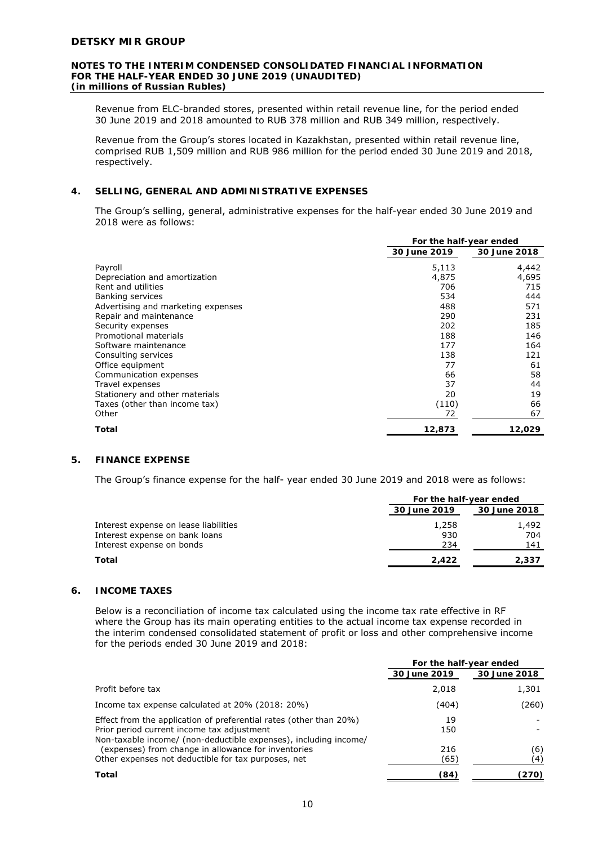#### **NOTES TO THE INTERIM CONDENSED CONSOLIDATED FINANCIAL INFORMATION FOR THE HALF-YEAR ENDED 30 JUNE 2019 (UNAUDITED)**  *(in millions of Russian Rubles)*

Revenue from ELC-branded stores, presented within retail revenue line, for the period ended 30 June 2019 and 2018 amounted to RUB 378 million and RUB 349 million, respectively.

Revenue from the Group's stores located in Kazakhstan, presented within retail revenue line, comprised RUB 1,509 million and RUB 986 million for the period ended 30 June 2019 and 2018, respectively.

# **4. SELLING, GENERAL AND ADMINISTRATIVE EXPENSES**

The Group's selling, general, administrative expenses for the half-year ended 30 June 2019 and 2018 were as follows:

|                                    | For the half-year ended |              |
|------------------------------------|-------------------------|--------------|
|                                    | 30 June 2019            | 30 June 2018 |
| Payroll                            | 5,113                   | 4,442        |
| Depreciation and amortization      | 4,875                   | 4,695        |
| Rent and utilities                 | 706                     | 715          |
| Banking services                   | 534                     | 444          |
| Advertising and marketing expenses | 488                     | 571          |
| Repair and maintenance             | 290                     | 231          |
| Security expenses                  | 202                     | 185          |
| Promotional materials              | 188                     | 146          |
| Software maintenance               | 177                     | 164          |
| Consulting services                | 138                     | 121          |
| Office equipment                   | 77                      | 61           |
| Communication expenses             | 66                      | 58           |
| Travel expenses                    | 37                      | 44           |
| Stationery and other materials     | 20                      | 19           |
| Taxes (other than income tax)      | (110)                   | 66           |
| Other                              | 72                      | 67           |
| Total                              | 12,873                  | 12,029       |

# **5. FINANCE EXPENSE**

The Group's finance expense for the half- year ended 30 June 2019 and 2018 were as follows:

|                                       | For the half-year ended |              |
|---------------------------------------|-------------------------|--------------|
|                                       | 30 June 2019            | 30 June 2018 |
| Interest expense on lease liabilities | 1,258                   | 1,492        |
| Interest expense on bank loans        | 930                     | 704          |
| Interest expense on bonds             | 234                     | 141          |
| Total                                 | 2.422                   | 2,337        |

#### **6. INCOME TAXES**

Below is a reconciliation of income tax calculated using the income tax rate effective in RF where the Group has its main operating entities to the actual income tax expense recorded in the interim condensed consolidated statement of profit or loss and other comprehensive income for the periods ended 30 June 2019 and 2018:

|                                                                                                                                                                                      | For the half-year ended |              |
|--------------------------------------------------------------------------------------------------------------------------------------------------------------------------------------|-------------------------|--------------|
|                                                                                                                                                                                      | 30 June 2019            | 30 June 2018 |
| Profit before tax                                                                                                                                                                    | 2,018                   | 1,301        |
| Income tax expense calculated at 20% (2018: 20%)                                                                                                                                     | (404)                   | (260)        |
| Effect from the application of preferential rates (other than 20%)<br>Prior period current income tax adjustment<br>Non-taxable income/ (non-deductible expenses), including income/ | 19<br>150               |              |
| (expenses) from change in allowance for inventories<br>Other expenses not deductible for tax purposes, net                                                                           | 216<br>(65)             | (6)<br>(4)   |
| Total                                                                                                                                                                                | (84)                    | (270)        |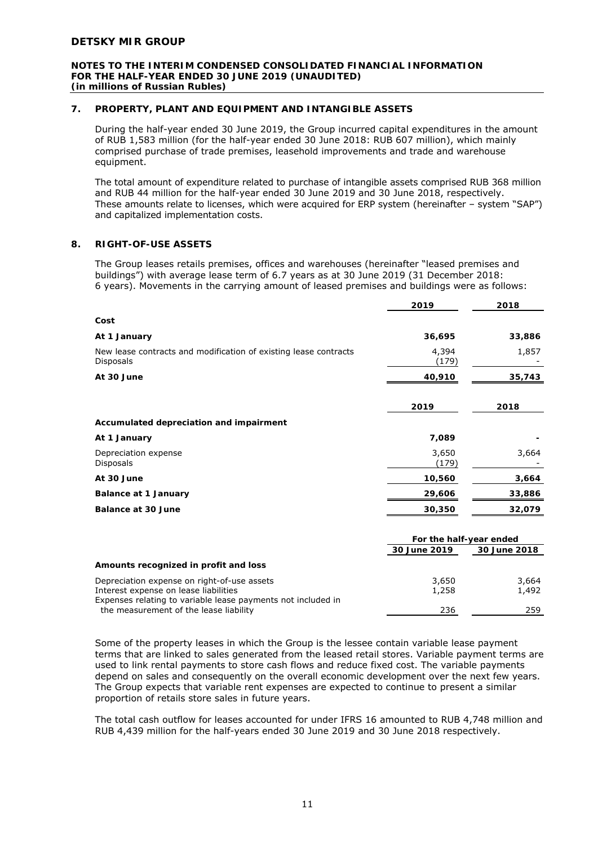#### **NOTES TO THE INTERIM CONDENSED CONSOLIDATED FINANCIAL INFORMATION FOR THE HALF-YEAR ENDED 30 JUNE 2019 (UNAUDITED)**  *(in millions of Russian Rubles)*

# **7. PROPERTY, PLANT AND EQUIPMENT AND INTANGIBLE ASSETS**

During the half-year ended 30 June 2019, the Group incurred capital expenditures in the amount of RUB 1,583 million (for the half-year ended 30 June 2018: RUB 607 million), which mainly comprised purchase of trade premises, leasehold improvements and trade and warehouse equipment.

The total amount of expenditure related to purchase of intangible assets comprised RUB 368 million and RUB 44 million for the half-year ended 30 June 2019 and 30 June 2018, respectively. These amounts relate to licenses, which were acquired for ERP system (hereinafter – system "SAP") and capitalized implementation costs.

# **8. RIGHT-OF-USE ASSETS**

The Group leases retails premises, offices and warehouses (hereinafter "leased premises and buildings") with average lease term of 6.7 years as at 30 June 2019 (31 December 2018: 6 years). Movements in the carrying amount of leased premises and buildings were as follows:

|                                                                               | 2019           | 2018   |
|-------------------------------------------------------------------------------|----------------|--------|
| Cost                                                                          |                |        |
| At 1 January                                                                  | 36,695         | 33,886 |
| New lease contracts and modification of existing lease contracts<br>Disposals | 4,394<br>(179) | 1,857  |
| At 30 June                                                                    | 40,910         | 35,743 |
|                                                                               |                |        |
|                                                                               | 2019           | 2018   |
| Accumulated depreciation and impairment                                       |                |        |
| At 1 January                                                                  | 7,089          |        |
| Depreciation expense<br>Disposals                                             | 3,650<br>(179) | 3,664  |
| At 30 June                                                                    | 10,560         | 3,664  |
| Balance at 1 January                                                          | 29,606         | 33,886 |
| <b>Balance at 30 June</b>                                                     | 30,350         | 32,079 |
|                                                                               |                |        |

|                                                              | For the half-year ended      |       |
|--------------------------------------------------------------|------------------------------|-------|
|                                                              | 30 June 2018<br>30 June 2019 |       |
| Amounts recognized in profit and loss                        |                              |       |
| Depreciation expense on right-of-use assets                  | 3,650                        | 3,664 |
| Interest expense on lease liabilities                        | 1,258                        | 1,492 |
| Expenses relating to variable lease payments not included in |                              |       |
| the measurement of the lease liability                       | 236                          | 259   |

Some of the property leases in which the Group is the lessee contain variable lease payment terms that are linked to sales generated from the leased retail stores. Variable payment terms are used to link rental payments to store cash flows and reduce fixed cost. The variable payments depend on sales and consequently on the overall economic development over the next few years. The Group expects that variable rent expenses are expected to continue to present a similar proportion of retails store sales in future years.

The total cash outflow for leases accounted for under IFRS 16 amounted to RUB 4,748 million and RUB 4,439 million for the half-years ended 30 June 2019 and 30 June 2018 respectively.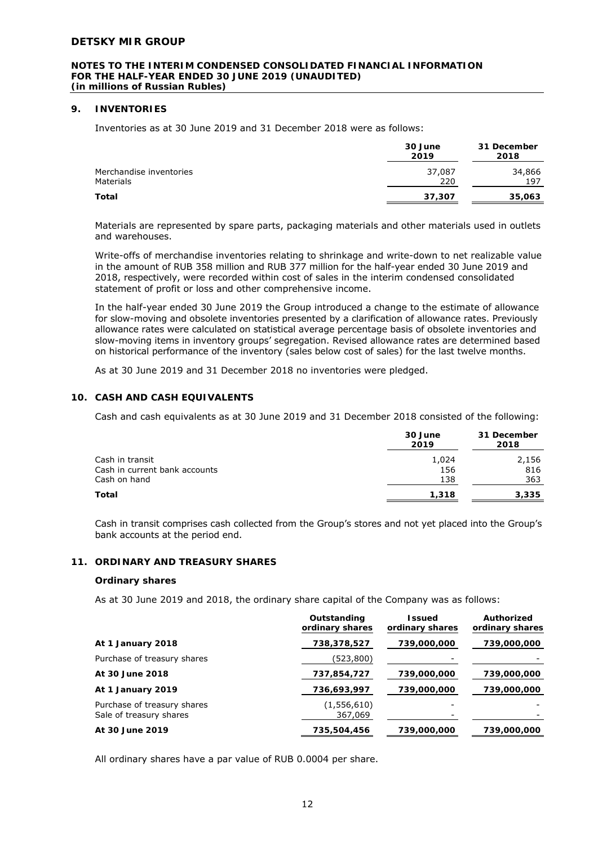#### **NOTES TO THE INTERIM CONDENSED CONSOLIDATED FINANCIAL INFORMATION FOR THE HALF-YEAR ENDED 30 JUNE 2019 (UNAUDITED)**  *(in millions of Russian Rubles)*

# **9. INVENTORIES**

Inventories as at 30 June 2019 and 31 December 2018 were as follows:

|                                             | 30 June<br>2019 | 31 December<br>2018 |
|---------------------------------------------|-----------------|---------------------|
| Merchandise inventories<br><b>Materials</b> | 37,087<br>220   | 34,866<br>197       |
| Total                                       | 37,307          | 35,063              |

Materials are represented by spare parts, packaging materials and other materials used in outlets and warehouses.

Write-offs of merchandise inventories relating to shrinkage and write-down to net realizable value in the amount of RUB 358 million and RUB 377 million for the half-year ended 30 June 2019 and 2018, respectively, were recorded within cost of sales in the interim condensed consolidated statement of profit or loss and other comprehensive income.

In the half-year ended 30 June 2019 the Group introduced a change to the estimate of allowance for slow-moving and obsolete inventories presented by a clarification of allowance rates. Previously allowance rates were calculated on statistical average percentage basis of obsolete inventories and slow-moving items in inventory groups' segregation. Revised allowance rates are determined based on historical performance of the inventory (sales below cost of sales) for the last twelve months.

As at 30 June 2019 and 31 December 2018 no inventories were pledged.

# **10. CASH AND CASH EQUIVALENTS**

Cash and cash equivalents as at 30 June 2019 and 31 December 2018 consisted of the following:

|                               | 30 June<br>2019 | 31 December<br>2018 |
|-------------------------------|-----------------|---------------------|
| Cash in transit               | 1,024           | 2,156               |
| Cash in current bank accounts | 156             | 816                 |
| Cash on hand                  | 138             | 363                 |
| Total                         | 1,318           | 3,335               |

Cash in transit comprises cash collected from the Group's stores and not yet placed into the Group's bank accounts at the period end.

# **11. ORDINARY AND TREASURY SHARES**

#### **Ordinary shares**

As at 30 June 2019 and 2018, the ordinary share capital of the Company was as follows:

|                                                        | Outstanding<br>ordinary shares | <b>Issued</b><br>ordinary shares | Authorized<br>ordinary shares |
|--------------------------------------------------------|--------------------------------|----------------------------------|-------------------------------|
| At 1 January 2018                                      | 738,378,527                    | 739,000,000                      | 739,000,000                   |
| Purchase of treasury shares                            | (523,800)                      |                                  |                               |
| At 30 June 2018                                        | 737,854,727                    | 739,000,000                      | 739,000,000                   |
| At 1 January 2019                                      | 736,693,997                    | 739,000,000                      | 739,000,000                   |
| Purchase of treasury shares<br>Sale of treasury shares | (1, 556, 610)<br>367,069       |                                  |                               |
| At 30 June 2019                                        | 735,504,456                    | 739,000,000                      | 739,000,000                   |

All ordinary shares have a par value of RUB 0.0004 per share.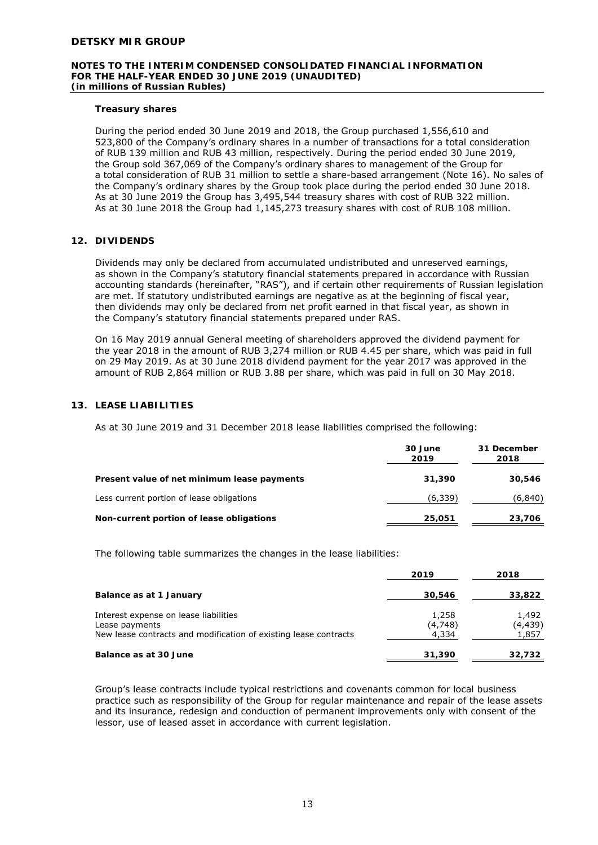#### **NOTES TO THE INTERIM CONDENSED CONSOLIDATED FINANCIAL INFORMATION FOR THE HALF-YEAR ENDED 30 JUNE 2019 (UNAUDITED)**  *(in millions of Russian Rubles)*

# **Treasury shares**

During the period ended 30 June 2019 and 2018, the Group purchased 1,556,610 and 523,800 of the Company's ordinary shares in a number of transactions for a total consideration of RUB 139 million and RUB 43 million, respectively. During the period ended 30 June 2019, the Group sold 367,069 of the Company's ordinary shares to management of the Group for a total consideration of RUB 31 million to settle a share-based arrangement (Note 16). No sales of the Company's ordinary shares by the Group took place during the period ended 30 June 2018. As at 30 June 2019 the Group has 3,495,544 treasury shares with cost of RUB 322 million. As at 30 June 2018 the Group had 1,145,273 treasury shares with cost of RUB 108 million.

# **12. DIVIDENDS**

Dividends may only be declared from accumulated undistributed and unreserved earnings, as shown in the Company's statutory financial statements prepared in accordance with Russian accounting standards (hereinafter, "RAS"), and if certain other requirements of Russian legislation are met. If statutory undistributed earnings are negative as at the beginning of fiscal year, then dividends may only be declared from net profit earned in that fiscal year, as shown in the Company's statutory financial statements prepared under RAS.

On 16 May 2019 annual General meeting of shareholders approved the dividend payment for the year 2018 in the amount of RUB 3,274 million or RUB 4.45 per share, which was paid in full on 29 May 2019. As at 30 June 2018 dividend payment for the year 2017 was approved in the amount of RUB 2,864 million or RUB 3.88 per share, which was paid in full on 30 May 2018.

# **13. LEASE LIABILITIES**

As at 30 June 2019 and 31 December 2018 lease liabilities comprised the following:

|                                             | 30 June<br>2019 | 31 December<br>2018 |
|---------------------------------------------|-----------------|---------------------|
| Present value of net minimum lease payments | 31,390          | 30,546              |
| Less current portion of lease obligations   | (6,339)         | (6,840)             |
| Non-current portion of lease obligations    | 25,051          | 23,706              |

The following table summarizes the changes in the lease liabilities:

|                                                                                                                             | 2019                      | 2018                      |
|-----------------------------------------------------------------------------------------------------------------------------|---------------------------|---------------------------|
| Balance as at 1 January                                                                                                     | 30,546                    | 33,822                    |
| Interest expense on lease liabilities<br>Lease payments<br>New lease contracts and modification of existing lease contracts | 1,258<br>(4,748)<br>4,334 | 1,492<br>(4,439)<br>1,857 |
| Balance as at 30 June                                                                                                       | 31,390                    | 32,732                    |

Group's lease contracts include typical restrictions and covenants common for local business practice such as responsibility of the Group for regular maintenance and repair of the lease assets and its insurance, redesign and conduction of permanent improvements only with consent of the lessor, use of leased asset in accordance with current legislation.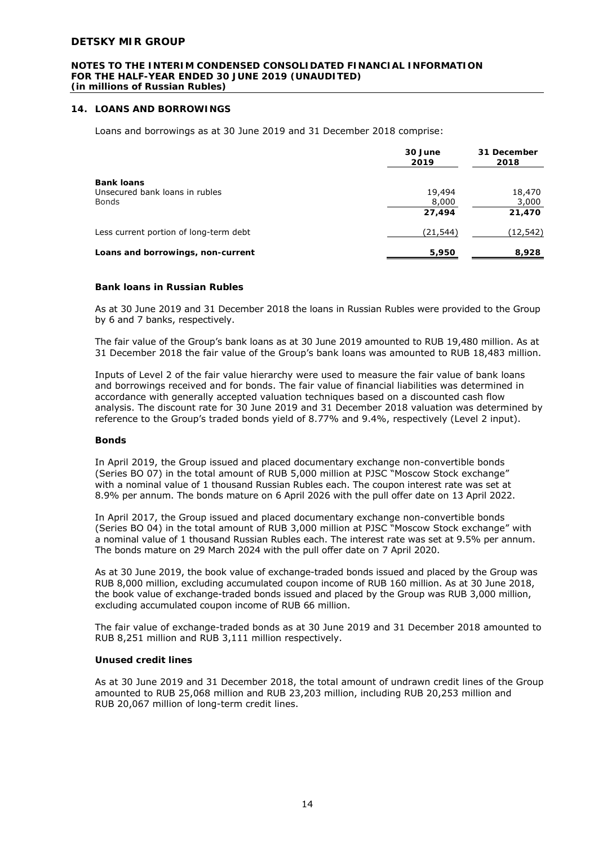#### **NOTES TO THE INTERIM CONDENSED CONSOLIDATED FINANCIAL INFORMATION FOR THE HALF-YEAR ENDED 30 JUNE 2019 (UNAUDITED)**  *(in millions of Russian Rubles)*

# **14. LOANS AND BORROWINGS**

Loans and borrowings as at 30 June 2019 and 31 December 2018 comprise:

|                                                | 30 June<br>2019 | 31 December<br>2018 |
|------------------------------------------------|-----------------|---------------------|
| <b>Bank loans</b>                              |                 |                     |
| Unsecured bank loans in rubles<br><b>Bonds</b> | 19,494<br>8,000 | 18,470<br>3,000     |
|                                                | 27.494          | 21,470              |
| Less current portion of long-term debt         | (21,544)        | (12, 542)           |
| Loans and borrowings, non-current              | 5,950           | 8,928               |

#### **Bank loans in Russian Rubles**

As at 30 June 2019 and 31 December 2018 the loans in Russian Rubles were provided to the Group by 6 and 7 banks, respectively.

The fair value of the Group's bank loans as at 30 June 2019 amounted to RUB 19,480 million. As at 31 December 2018 the fair value of the Group's bank loans was amounted to RUB 18,483 million.

Inputs of Level 2 of the fair value hierarchy were used to measure the fair value of bank loans and borrowings received and for bonds. The fair value of financial liabilities was determined in accordance with generally accepted valuation techniques based on a discounted cash flow analysis. The discount rate for 30 June 2019 and 31 December 2018 valuation was determined by reference to the Group's traded bonds yield of 8.77% and 9.4%, respectively (Level 2 input).

#### **Bonds**

In April 2019, the Group issued and placed documentary exchange non-convertible bonds (Series BO 07) in the total amount of RUB 5,000 million at PJSC "Moscow Stock exchange" with a nominal value of 1 thousand Russian Rubles each. The coupon interest rate was set at 8.9% per annum. The bonds mature on 6 April 2026 with the pull offer date on 13 April 2022.

In April 2017, the Group issued and placed documentary exchange non-convertible bonds (Series BO 04) in the total amount of RUB 3,000 million at PJSC "Moscow Stock exchange" with a nominal value of 1 thousand Russian Rubles each. The interest rate was set at 9.5% per annum. The bonds mature on 29 March 2024 with the pull offer date on 7 April 2020.

As at 30 June 2019, the book value of exchange-traded bonds issued and placed by the Group was RUB 8,000 million, excluding accumulated coupon income of RUB 160 million. As at 30 June 2018, the book value of exchange-traded bonds issued and placed by the Group was RUB 3,000 million, excluding accumulated coupon income of RUB 66 million.

The fair value of exchange-traded bonds as at 30 June 2019 and 31 December 2018 amounted to RUB 8,251 million and RUB 3,111 million respectively.

# **Unused credit lines**

As at 30 June 2019 and 31 December 2018, the total amount of undrawn credit lines of the Group amounted to RUB 25,068 million and RUB 23,203 million, including RUB 20,253 million and RUB 20,067 million of long-term credit lines.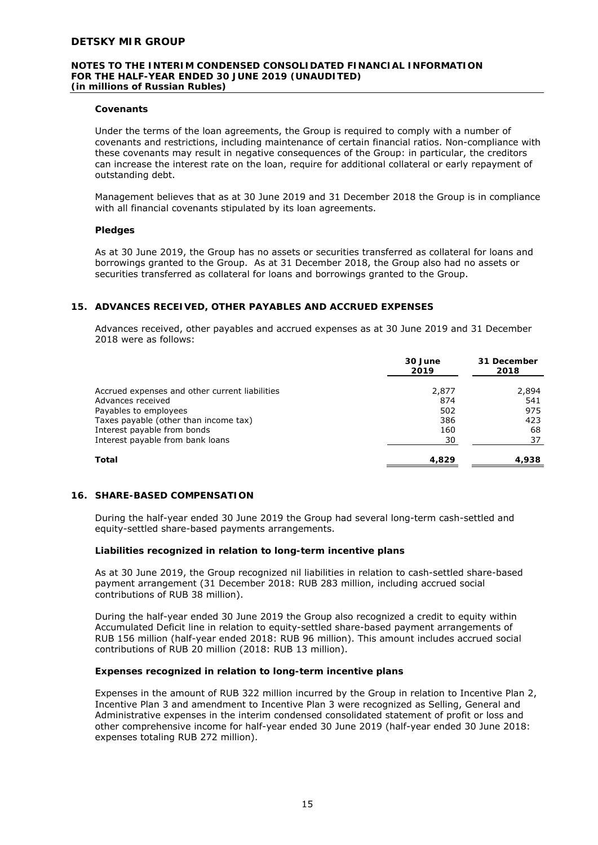#### **NOTES TO THE INTERIM CONDENSED CONSOLIDATED FINANCIAL INFORMATION FOR THE HALF-YEAR ENDED 30 JUNE 2019 (UNAUDITED)**  *(in millions of Russian Rubles)*

## **Covenants**

Under the terms of the loan agreements, the Group is required to comply with a number of covenants and restrictions, including maintenance of certain financial ratios. Non-compliance with these covenants may result in negative consequences of the Group: in particular, the creditors can increase the interest rate on the loan, require for additional collateral or early repayment of outstanding debt.

Management believes that as at 30 June 2019 and 31 December 2018 the Group is in compliance with all financial covenants stipulated by its loan agreements.

#### **Pledges**

As at 30 June 2019, the Group has no assets or securities transferred as collateral for loans and borrowings granted to the Group. As at 31 December 2018, the Group also had no assets or securities transferred as collateral for loans and borrowings granted to the Group.

# **15. ADVANCES RECEIVED, OTHER PAYABLES AND ACCRUED EXPENSES**

Advances received, other payables and accrued expenses as at 30 June 2019 and 31 December 2018 were as follows:

|                                                | 30 June<br>2019 | 31 December<br>2018 |
|------------------------------------------------|-----------------|---------------------|
| Accrued expenses and other current liabilities | 2,877           | 2,894               |
| Advances received                              | 874             | 541                 |
| Payables to employees                          | 502             | 975                 |
| Taxes payable (other than income tax)          | 386             | 423                 |
| Interest payable from bonds                    | 160             | 68                  |
| Interest payable from bank loans               | 30              | 37                  |
| Total                                          | 4.829           | 4,938               |

#### **16. SHARE-BASED COMPENSATION**

During the half-year ended 30 June 2019 the Group had several long-term cash-settled and equity-settled share-based payments arrangements.

#### **Liabilities recognized in relation to long-term incentive plans**

As at 30 June 2019, the Group recognized nil liabilities in relation to cash-settled share-based payment arrangement (31 December 2018: RUB 283 million, including accrued social contributions of RUB 38 million).

During the half-year ended 30 June 2019 the Group also recognized a credit to equity within Accumulated Deficit line in relation to equity-settled share-based payment arrangements of RUB 156 million (half-year ended 2018: RUB 96 million). This amount includes accrued social contributions of RUB 20 million (2018: RUB 13 million).

#### **Expenses recognized in relation to long-term incentive plans**

Expenses in the amount of RUB 322 million incurred by the Group in relation to Incentive Plan 2, Incentive Plan 3 and amendment to Incentive Plan 3 were recognized as Selling, General and Administrative expenses in the interim condensed consolidated statement of profit or loss and other comprehensive income for half-year ended 30 June 2019 (half-year ended 30 June 2018: expenses totaling RUB 272 million).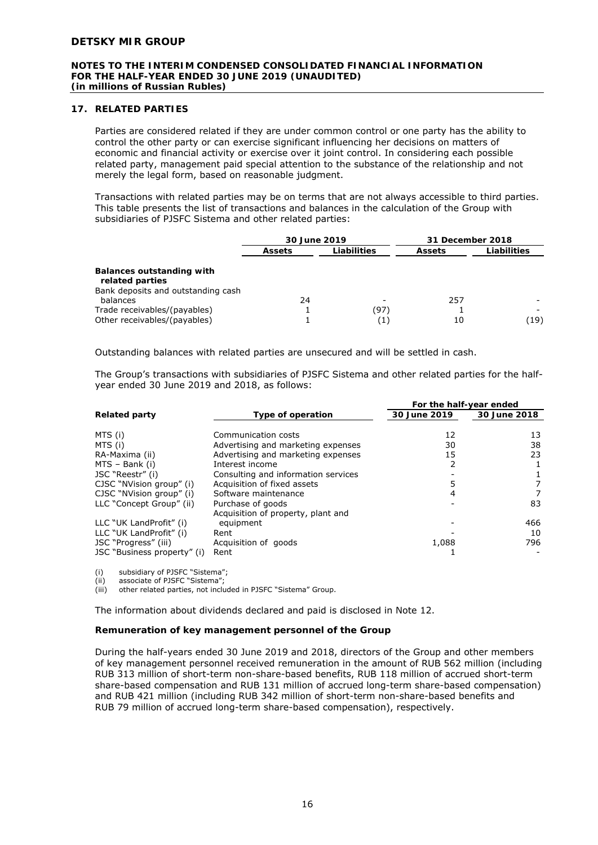#### **NOTES TO THE INTERIM CONDENSED CONSOLIDATED FINANCIAL INFORMATION FOR THE HALF-YEAR ENDED 30 JUNE 2019 (UNAUDITED)**  *(in millions of Russian Rubles)*

# **17. RELATED PARTIES**

Parties are considered related if they are under common control or one party has the ability to control the other party or can exercise significant influencing her decisions on matters of economic and financial activity or exercise over it joint control. In considering each possible related party, management paid special attention to the substance of the relationship and not merely the legal form, based on reasonable judgment.

Transactions with related parties may be on terms that are not always accessible to third parties. This table presents the list of transactions and balances in the calculation of the Group with subsidiaries of PJSFC Sistema and other related parties:

|                                                                                    | 30 June 2019  |             | 31 December 2018 |             |
|------------------------------------------------------------------------------------|---------------|-------------|------------------|-------------|
|                                                                                    | <b>Assets</b> | Liabilities | <b>Assets</b>    | Liabilities |
| Balances outstanding with<br>related parties<br>Bank deposits and outstanding cash |               |             |                  |             |
| balances                                                                           | 24            |             | 257              |             |
| Trade receivables/(payables)                                                       |               | (97)        |                  |             |
| Other receivables/(payables)                                                       |               | (1)         | 10               | (19)        |

Outstanding balances with related parties are unsecured and will be settled in cash.

The Group's transactions with subsidiaries of PJSFC Sistema and other related parties for the halfyear ended 30 June 2019 and 2018, as follows:

|                             |                                     | For the half-year ended |              |
|-----------------------------|-------------------------------------|-------------------------|--------------|
| <b>Related party</b>        | Type of operation                   | 30 June 2019            | 30 June 2018 |
| MTS (i)                     | Communication costs                 | 12                      | 13           |
| MTS (i)                     | Advertising and marketing expenses  | 30                      | 38           |
|                             |                                     | 15                      | 23           |
| RA-Maxima (ii)              | Advertising and marketing expenses  |                         |              |
| MTS - Bank (i)              | Interest income                     |                         |              |
| JSC "Reestr" (i)            | Consulting and information services |                         |              |
| CJSC "NVision group" (i)    | Acquisition of fixed assets         |                         |              |
| CJSC "NVision group" (i)    | Software maintenance                |                         |              |
| LLC "Concept Group" (ii)    | Purchase of goods                   |                         | 83           |
|                             | Acquisition of property, plant and  |                         |              |
| LLC "UK LandProfit" (i)     | equipment                           |                         | 466          |
| LLC "UK LandProfit" (i)     | Rent                                |                         | 10           |
| JSC "Progress" (iii)        | Acquisition of goods                | 1,088                   | 796          |
| JSC "Business property" (i) | Rent                                |                         |              |

(i) subsidiary of PJSFC "Sistema";

(ii) associate of PJSFC "Sistema";<br>(iii) other related parties, not inclu

other related parties, not included in PJSFC "Sistema" Group.

The information about dividends declared and paid is disclosed in Note 12.

#### **Remuneration of key management personnel of the Group**

During the half-years ended 30 June 2019 and 2018, directors of the Group and other members of key management personnel received remuneration in the amount of RUB 562 million (including RUB 313 million of short-term non-share-based benefits, RUB 118 million of accrued short-term share-based compensation and RUB 131 million of accrued long-term share-based compensation) and RUB 421 million (including RUB 342 million of short-term non-share-based benefits and RUB 79 million of accrued long-term share-based compensation), respectively.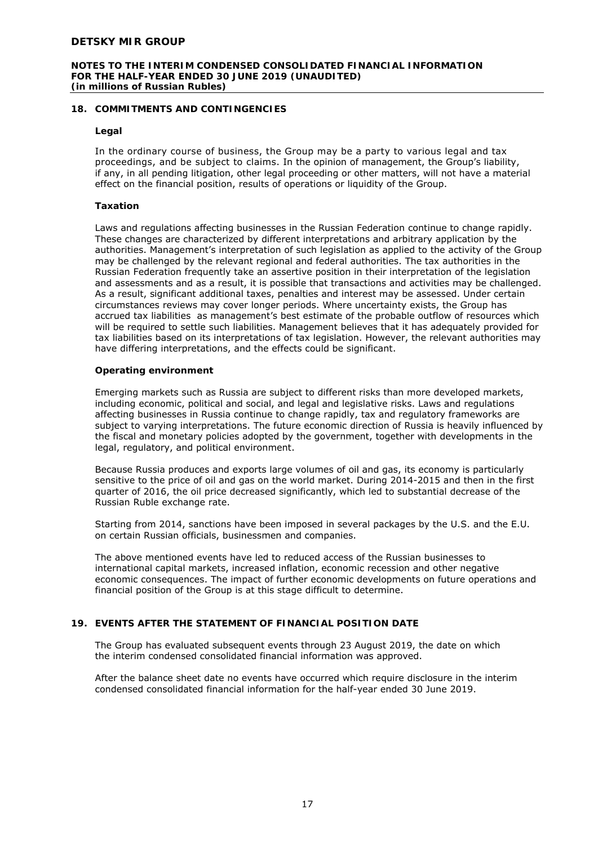#### **NOTES TO THE INTERIM CONDENSED CONSOLIDATED FINANCIAL INFORMATION FOR THE HALF-YEAR ENDED 30 JUNE 2019 (UNAUDITED)**  *(in millions of Russian Rubles)*

# **18. COMMITMENTS AND CONTINGENCIES**

# **Legal**

In the ordinary course of business, the Group may be a party to various legal and tax proceedings, and be subject to claims. In the opinion of management, the Group's liability, if any, in all pending litigation, other legal proceeding or other matters, will not have a material effect on the financial position, results of operations or liquidity of the Group.

# **Taxation**

Laws and regulations affecting businesses in the Russian Federation continue to change rapidly. These changes are characterized by different interpretations and arbitrary application by the authorities. Management's interpretation of such legislation as applied to the activity of the Group may be challenged by the relevant regional and federal authorities. The tax authorities in the Russian Federation frequently take an assertive position in their interpretation of the legislation and assessments and as a result, it is possible that transactions and activities may be challenged. As a result, significant additional taxes, penalties and interest may be assessed. Under certain circumstances reviews may cover longer periods. Where uncertainty exists, the Group has accrued tax liabilities as management's best estimate of the probable outflow of resources which will be required to settle such liabilities. Management believes that it has adequately provided for tax liabilities based on its interpretations of tax legislation. However, the relevant authorities may have differing interpretations, and the effects could be significant.

#### **Operating environment**

Emerging markets such as Russia are subject to different risks than more developed markets, including economic, political and social, and legal and legislative risks. Laws and regulations affecting businesses in Russia continue to change rapidly, tax and regulatory frameworks are subject to varying interpretations. The future economic direction of Russia is heavily influenced by the fiscal and monetary policies adopted by the government, together with developments in the legal, regulatory, and political environment.

Because Russia produces and exports large volumes of oil and gas, its economy is particularly sensitive to the price of oil and gas on the world market. During 2014-2015 and then in the first quarter of 2016, the oil price decreased significantly, which led to substantial decrease of the Russian Ruble exchange rate.

Starting from 2014, sanctions have been imposed in several packages by the U.S. and the E.U. on certain Russian officials, businessmen and companies.

The above mentioned events have led to reduced access of the Russian businesses to international capital markets, increased inflation, economic recession and other negative economic consequences. The impact of further economic developments on future operations and financial position of the Group is at this stage difficult to determine.

# **19. EVENTS AFTER THE STATEMENT OF FINANCIAL POSITION DATE**

The Group has evaluated subsequent events through 23 August 2019, the date on which the interim condensed consolidated financial information was approved.

After the balance sheet date no events have occurred which require disclosure in the interim condensed consolidated financial information for the half-year ended 30 June 2019.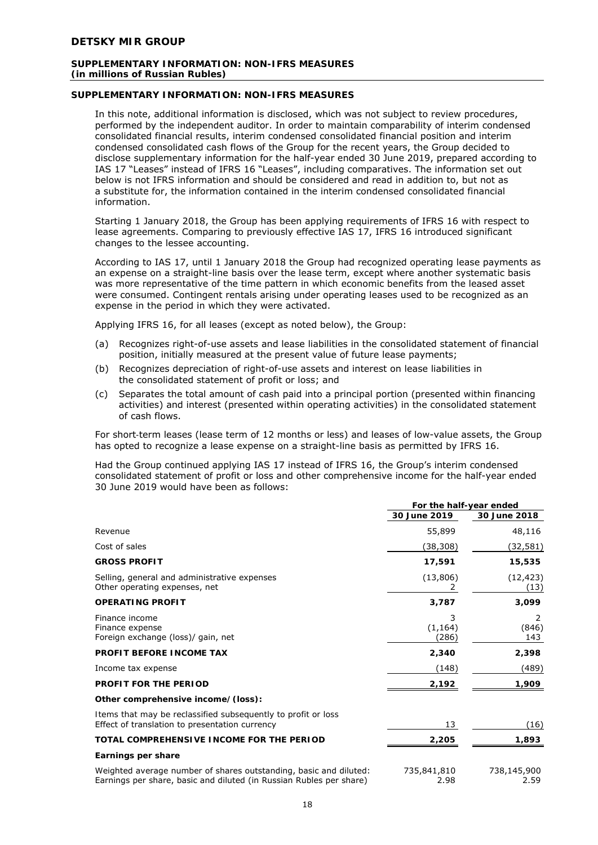# **SUPPLEMENTARY INFORMATION: NON-IFRS MEASURES**

In this note, additional information is disclosed, which was not subject to review procedures, performed by the independent auditor. In order to maintain comparability of interim condensed consolidated financial results, interim condensed consolidated financial position and interim condensed consolidated cash flows of the Group for the recent years, the Group decided to disclose supplementary information for the half-year ended 30 June 2019, prepared according to IAS 17 "Leases" instead of IFRS 16 "Leases", including comparatives. The information set out below is not IFRS information and should be considered and read in addition to, but not as a substitute for, the information contained in the interim condensed consolidated financial information.

Starting 1 January 2018, the Group has been applying requirements of IFRS 16 with respect to lease agreements. Comparing to previously effective IAS 17, IFRS 16 introduced significant changes to the lessee accounting.

According to IAS 17, until 1 January 2018 the Group had recognized operating lease payments as an expense on a straight-line basis over the lease term, except where another systematic basis was more representative of the time pattern in which economic benefits from the leased asset were consumed. Contingent rentals arising under operating leases used to be recognized as an expense in the period in which they were activated.

Applying IFRS 16, for all leases (except as noted below), the Group:

- (a) Recognizes right-of-use assets and lease liabilities in the consolidated statement of financial position, initially measured at the present value of future lease payments;
- (b) Recognizes depreciation of right-of-use assets and interest on lease liabilities in the consolidated statement of profit or loss; and
- (c) Separates the total amount of cash paid into a principal portion (presented within financing activities) and interest (presented within operating activities) in the consolidated statement of cash flows.

For short-term leases (lease term of 12 months or less) and leases of low-value assets, the Group has opted to recognize a lease expense on a straight-line basis as permitted by IFRS 16.

Had the Group continued applying IAS 17 instead of IFRS 16, the Group's interim condensed consolidated statement of profit or loss and other comprehensive income for the half-year ended 30 June 2019 would have been as follows:

|                                                                                                                                          | For the half-year ended |                               |
|------------------------------------------------------------------------------------------------------------------------------------------|-------------------------|-------------------------------|
|                                                                                                                                          | 30 June 2019            | 30 June 2018                  |
| Revenue                                                                                                                                  | 55,899                  | 48,116                        |
| Cost of sales                                                                                                                            | (38,308)                | (32, 581)                     |
| <b>GROSS PROFIT</b>                                                                                                                      | 17,591                  | 15,535                        |
| Selling, general and administrative expenses<br>Other operating expenses, net                                                            | (13, 806)               | (12, 423)<br>(13)             |
| <b>OPERATING PROFIT</b>                                                                                                                  | 3,787                   | 3,099                         |
| Finance income<br>Finance expense<br>Foreign exchange (loss)/ gain, net                                                                  | 3<br>(1, 164)<br>(286)  | $\mathcal{L}$<br>(846)<br>143 |
| <b>PROFIT BEFORE INCOME TAX</b>                                                                                                          | 2,340                   | 2,398                         |
| Income tax expense                                                                                                                       | (148)                   | (489)                         |
| <b>PROFIT FOR THE PERIOD</b>                                                                                                             | 2,192                   | 1,909                         |
| Other comprehensive income/(loss):                                                                                                       |                         |                               |
| Items that may be reclassified subsequently to profit or loss<br>Effect of translation to presentation currency                          | 13                      | (16)                          |
| TOTAL COMPREHENSIVE INCOME FOR THE PERIOD                                                                                                | 2,205                   | 1,893                         |
| Earnings per share                                                                                                                       |                         |                               |
| Weighted average number of shares outstanding, basic and diluted:<br>Earnings per share, basic and diluted (in Russian Rubles per share) | 735,841,810<br>2.98     | 738,145,900<br>2.59           |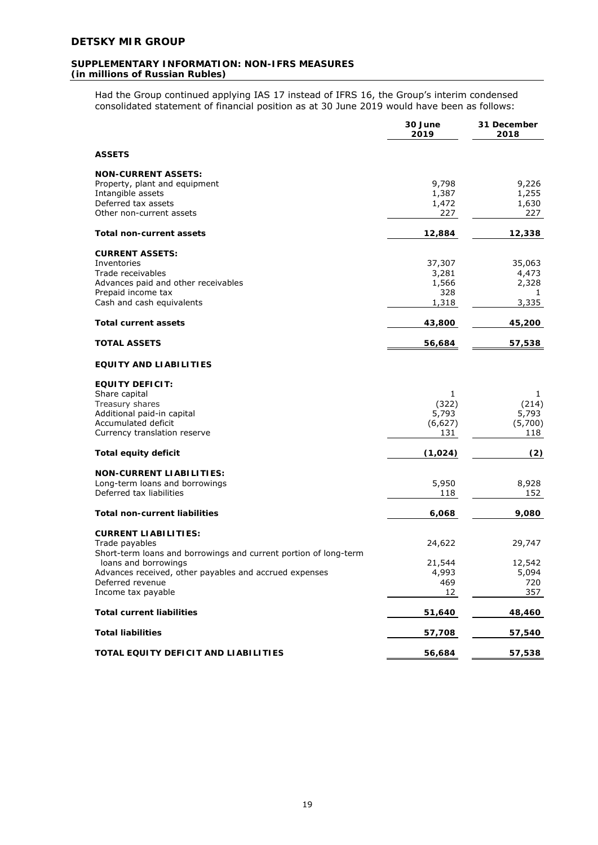Had the Group continued applying IAS 17 instead of IFRS 16, the Group's interim condensed consolidated statement of financial position as at 30 June 2019 would have been as follows:

|                                                                                                                                                                                                                                               | 30 June<br>2019                          | 31 December<br>2018                     |
|-----------------------------------------------------------------------------------------------------------------------------------------------------------------------------------------------------------------------------------------------|------------------------------------------|-----------------------------------------|
| <b>ASSETS</b>                                                                                                                                                                                                                                 |                                          |                                         |
| <b>NON-CURRENT ASSETS:</b><br>Property, plant and equipment<br>Intangible assets<br>Deferred tax assets<br>Other non-current assets                                                                                                           | 9,798<br>1,387<br>1,472<br>227           | 9,226<br>1,255<br>1,630<br>227          |
| Total non-current assets                                                                                                                                                                                                                      | 12,884                                   | 12,338                                  |
| <b>CURRENT ASSETS:</b><br>Inventories<br>Trade receivables<br>Advances paid and other receivables<br>Prepaid income tax<br>Cash and cash equivalents                                                                                          | 37,307<br>3,281<br>1,566<br>328<br>1,318 | 35,063<br>4,473<br>2,328<br>1<br>3,335  |
| <b>Total current assets</b>                                                                                                                                                                                                                   | 43,800                                   | 45,200                                  |
| <b>TOTAL ASSETS</b>                                                                                                                                                                                                                           | 56,684                                   | 57,538                                  |
| <b>EQUITY AND LIABILITIES</b>                                                                                                                                                                                                                 |                                          |                                         |
| <b>EQUITY DEFICIT:</b><br>Share capital<br>Treasury shares<br>Additional paid-in capital<br>Accumulated deficit<br>Currency translation reserve                                                                                               | 1<br>(322)<br>5,793<br>(6,627)<br>131    | 1<br>(214)<br>5,793<br>(5,700)<br>118   |
| <b>Total equity deficit</b>                                                                                                                                                                                                                   | (1,024)                                  | (2)                                     |
| <b>NON-CURRENT LIABILITIES:</b><br>Long-term loans and borrowings<br>Deferred tax liabilities                                                                                                                                                 | 5,950<br>118                             | 8,928<br>152                            |
| <b>Total non-current liabilities</b>                                                                                                                                                                                                          | 6,068                                    | 9,080                                   |
| <b>CURRENT LIABILITIES:</b><br>Trade payables<br>Short-term loans and borrowings and current portion of long-term<br>loans and borrowings<br>Advances received, other payables and accrued expenses<br>Deferred revenue<br>Income tax payable | 24,622<br>21,544<br>4,993<br>469<br>12   | 29,747<br>12,542<br>5,094<br>720<br>357 |
| <b>Total current liabilities</b>                                                                                                                                                                                                              | 51,640                                   | 48,460                                  |
| <b>Total liabilities</b>                                                                                                                                                                                                                      | 57,708                                   | 57,540                                  |
| TOTAL EQUITY DEFICIT AND LIABILITIES                                                                                                                                                                                                          | 56,684                                   | 57,538                                  |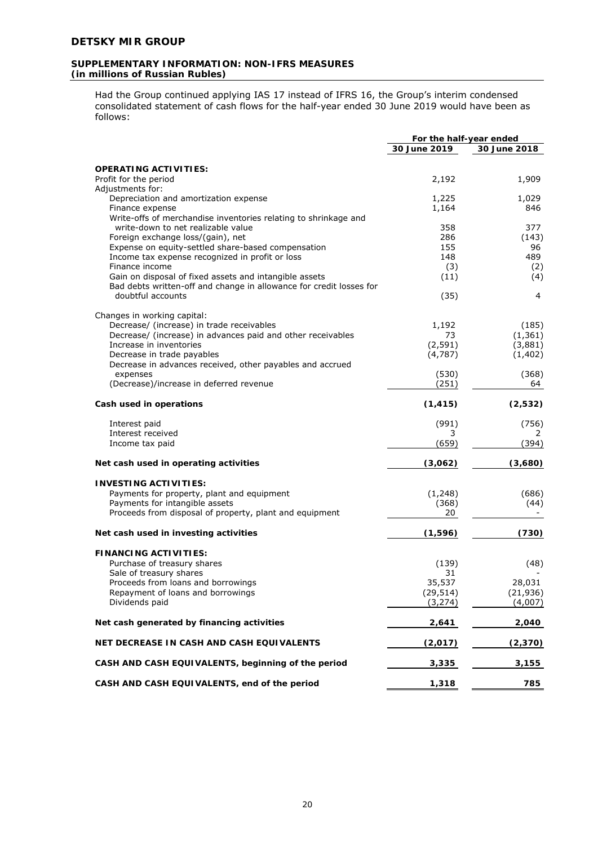Had the Group continued applying IAS 17 instead of IFRS 16, the Group's interim condensed consolidated statement of cash flows for the half-year ended 30 June 2019 would have been as follows:

|                                                                              | For the half-year ended |              |
|------------------------------------------------------------------------------|-------------------------|--------------|
|                                                                              | 30 June 2019            | 30 June 2018 |
|                                                                              |                         |              |
| <b>OPERATING ACTIVITIES:</b>                                                 |                         |              |
| Profit for the period                                                        | 2,192                   | 1,909        |
| Adjustments for:<br>Depreciation and amortization expense                    | 1,225                   | 1,029        |
| Finance expense                                                              | 1,164                   | 846          |
| Write-offs of merchandise inventories relating to shrinkage and              |                         |              |
| write-down to net realizable value                                           | 358                     | 377          |
| Foreign exchange loss/(gain), net                                            | 286                     | (143)        |
| Expense on equity-settled share-based compensation                           | 155                     | 96           |
| Income tax expense recognized in profit or loss                              | 148                     | 489          |
| Finance income                                                               | (3)                     | (2)          |
| Gain on disposal of fixed assets and intangible assets                       | (11)                    | (4)          |
| Bad debts written-off and change in allowance for credit losses for          |                         |              |
| doubtful accounts                                                            | (35)                    | 4            |
|                                                                              |                         |              |
| Changes in working capital:                                                  |                         |              |
| Decrease/ (increase) in trade receivables                                    | 1,192                   | (185)        |
| Decrease/ (increase) in advances paid and other receivables                  | 73                      | (1, 361)     |
| Increase in inventories                                                      | (2, 591)                | (3,881)      |
| Decrease in trade payables                                                   | (4,787)                 | (1, 402)     |
| Decrease in advances received, other payables and accrued                    | (530)                   |              |
| expenses<br>(Decrease)/increase in deferred revenue                          | (251)                   | (368)<br>64  |
|                                                                              |                         |              |
| Cash used in operations                                                      | (1, 415)                | (2,532)      |
| Interest paid                                                                | (991)                   | (756)        |
| Interest received                                                            | 3                       | 2            |
| Income tax paid                                                              | (659)                   | (394)        |
| Net cash used in operating activities                                        | (3,062)                 | (3,680)      |
|                                                                              |                         |              |
| <b>INVESTING ACTIVITIES:</b>                                                 |                         | (686)        |
| Payments for property, plant and equipment<br>Payments for intangible assets | (1, 248)<br>(368)       | (44)         |
| Proceeds from disposal of property, plant and equipment                      | 20                      |              |
|                                                                              |                         |              |
| Net cash used in investing activities                                        | (1, 596)                | (730)        |
| <b>FINANCING ACTIVITIES:</b>                                                 |                         |              |
| Purchase of treasury shares                                                  | (139)                   | (48)         |
| Sale of treasury shares                                                      | 31                      |              |
| Proceeds from loans and borrowings                                           | 35,537                  | 28,031       |
| Repayment of loans and borrowings                                            | (29, 514)               | (21, 936)    |
| Dividends paid                                                               | (3, 274)                | (4,007)      |
| Net cash generated by financing activities                                   | 2,641                   | 2,040        |
| NET DECREASE IN CASH AND CASH EQUIVALENTS                                    | (2,017)                 | (2,370)      |
| CASH AND CASH EQUIVALENTS, beginning of the period                           | 3,335                   | 3,155        |
| CASH AND CASH EQUIVALENTS, end of the period                                 | 1,318                   | 785          |

20